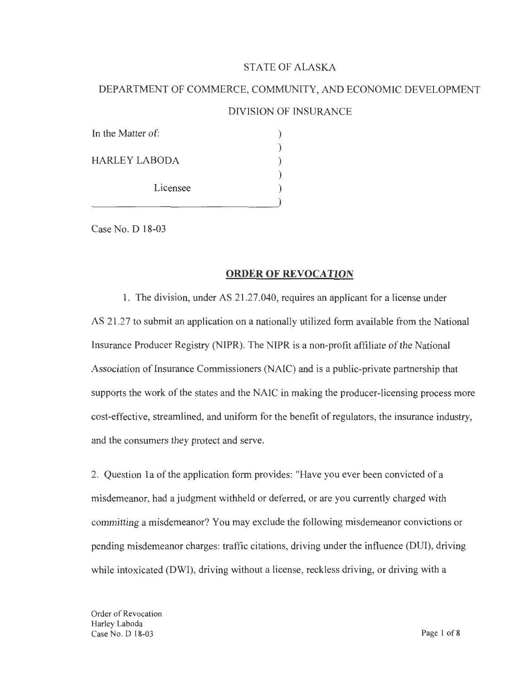## STATE OF ALASKA

# DEPARTMENT OF COMMERCE, COMMUNITY, AND ECONOMIC DEVELOPMENT

# DIVISION OF INSURANCE

| In the Matter of:    |  |
|----------------------|--|
| <b>HARLEY LABODA</b> |  |
| Licensee             |  |
|                      |  |

Case No. D 18-03

#### **ORDER OF REVOCATION**

1. The division, under AS 21 .27.040, requires an applicant for a license under AS 21.27 to submit an application on a nationally utilized form available from the National Insurance Producer Registry (NIPR). The NIPR is a non-profit affiliate of the National Association of Insurance Commissioners (NAIC) and is a public-private partnership that supports the work of the states and the NAIC in making the producer-licensing process more cost-effective, streamlined, and uniform for the benefit of regulators, the insurance industry, and the consumers they protect and serve.

2. Question 1 a of the application form provides: "Have you ever been convicted of a misdemeanor, had a judgment withheld or deferred, or are you currently charged with committing a misdemeanor? You may exclude the following misdemeanor convictions or pending misdemeanor charges: traffic citations, driving under the influence (DUI), driving while intoxicated (DWI), driving without a license, reckless driving, or driving with a

Order of Revocation Harley Laboda Case No. D 18-03 Page 1 of 8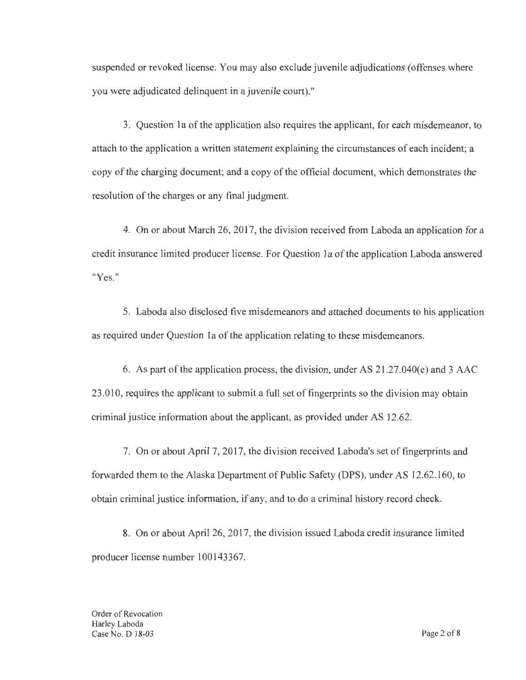suspended or revoked license. You may also exclude juvenile adjudications ( offenses where you were adjudicated delinquent in a juvenile court)."

3. Question la of the application also requires the applicant, for each misdemeanor, to attach to the application a written statement explaining the circumstances of each incident; a copy of the charging document; and a copy of the official document, which demonstrates the resolution of the charges or any final judgment.

4. On or about March 26, 2017, the division received from Laboda an application for a credit insurance limited producer license. For Question la of the application Laboda answered "Yes."

5. Laboda also disclosed five misdemeanors and attached documents to his application as required under Question 1a of the application relating to these misdemeanors.

6. As part of the application process, the division, under AS  $21.27.040(e)$  and 3 AAC 23.010, requires the applicant to submit a full set of fingerprints so the division may obtain criminal justice information about the applicant, as provided under AS 12.62.

7. On or about April 7, 2017, the division received Laboda's set of fingerprints and forwarded them to the Alaska Department of Public Safety (DPS), under AS 12.62.160, to obtain criminal justice information, if any, and to do a criminal history record check.

8. On or about April 26, 2017, the division issued Laboda credit insurance limited producer license number 100143367.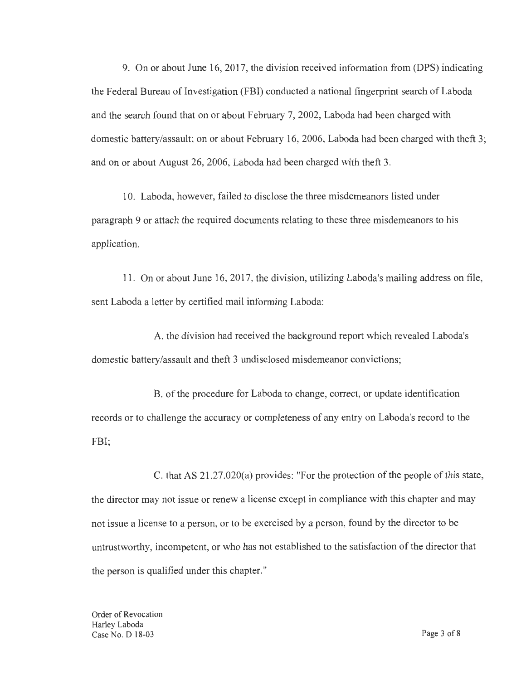9. On or about June 16, 2017, the division received information from (DPS) indicating the Federal Bureau of Investigation (FBI) conducted a national fingerprint search of Laboda and the search found that on or about February 7, 2002, Laboda had been charged with domestic battery/assault; on or about February 16, 2006, Laboda had been charged with theft 3; and on or about August 26, 2006, Laboda had been charged with theft 3.

10. Laboda, however, failed to disclose the three misdemeanors listed under paragraph 9 or attach the required documents relating to these three misdemeanors to his application.

11. On or about June 16, 2017, the division, utilizing Laboda's mailing address on file, sent Laboda a letter by certified mail informing Laboda:

A. the division had received the background report which revealed Laboda's domestic battery/assault and theft 3 undisclosed misdemeanor convictions;

B. of the procedure for Laboda to change, correct, or update identification records or to challenge the accuracy or completeness of any entry on Laboda's record to the FBI;

C. that AS 21.27.020(a) provides: "For the protection of the people of this state, the director may not issue or renew a license except in compliance with this chapter and may not issue a license to a person, or to be exercised by a person, found by the director to be untrustworthy, incompetent, or who has not established to the satisfaction of the director that the person is qualified under this chapter."

Order of Revocation Harley Laboda Case No. D 18-03 Page 3 of 8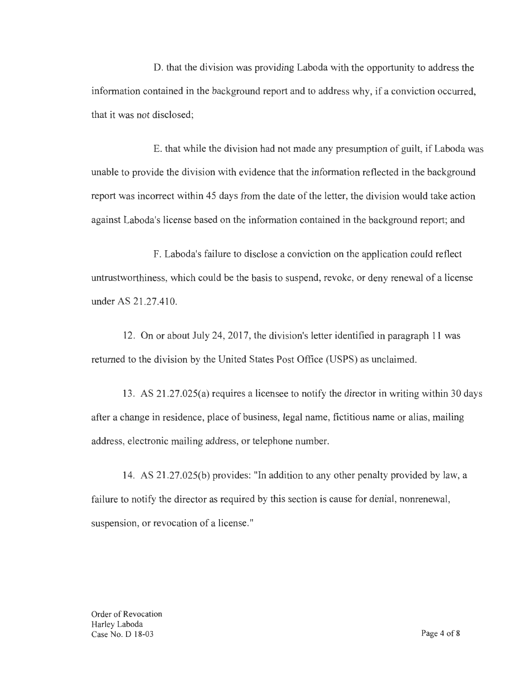D. that the division was providing Laboda with the opportunity to address the information contained in the background report and to address why, if a conviction occurred, that it was not disclosed;

E. that while the division had not made any presumption of guilt, if Laboda was unable to provide the division with evidence that the information reflected in the background report was incorrect within 45 days from the date of the letter, the division would take action against Laboda's license based on the information contained in the background report; and

F. Laboda's failure to disclose a conviction on the application could reflect untrustworthiness, which could be the basis to suspend, revoke, or deny renewal of a license under AS 21.27.410.

12. On or about July 24, 2017, the division's letter identified in paragraph 11 was returned to the division by the United States Post Office (USPS) as unclaimed.

13. AS 21.27.025(a) requires a licensee to notify the director in writing within 30 days after a change in residence, place of business, legal name, fictitious name or alias, mailing address, electronic mailing address, or telephone number.

14. AS 21.27.025(b) provides: "In addition to any other penalty provided by law, a failure to notify the director as required by this section is cause for denial, nonrenewal, suspension, or revocation of a license."

Order of Revocation Harley Laboda Case No. D 18-03 Page 4 of 8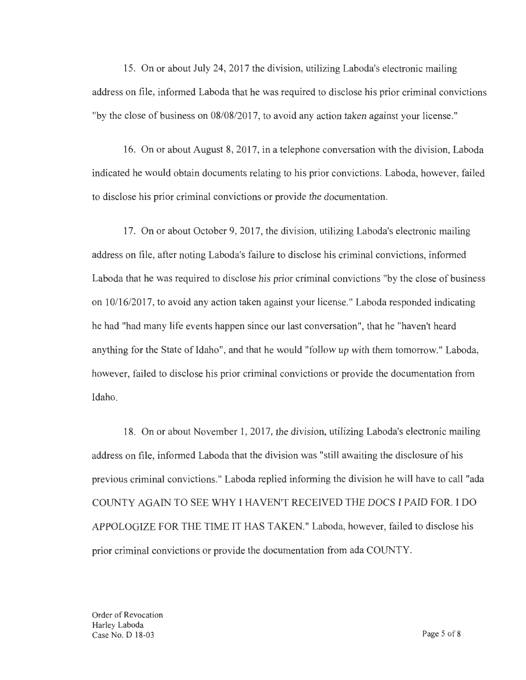15. On or about July 24, 2017 the division, utilizing Laboda's electronic mailing address on file, informed Laboda that he was required to disclose his prior criminal convictions "by the close of business on 08/08/2017, to avoid any action taken against your license."

16. On or about August 8, 2017, in a telephone conversation with the division, Laboda indicated he would obtain documents relating to his prior convictions. Laboda, however, failed to disclose his prior criminal convictions or provide the documentation.

17. On or about October 9, 2017, the division, utilizing Laboda's electronic mailing address on file, after noting Laboda's failure to disclose his criminal convictions, informed Laboda that he was required to disclose his prior criminal convictions "by the close of business on 10/16/2017, to avoid any action taken against your license." Laboda responded indicating he had "had many life events happen since our last conversation", that he "haven't heard anything for the State of Idaho", and that he would "follow up with them tomorrow." Laboda, however, failed to disclose his prior criminal convictions or provide the documentation from Idaho.

18. On or about November 1, 2017, the division, utilizing Laboda's electronic mailing address on file, informed Laboda that the division was "still awaiting the disclosure of his previous criminal convictions." Laboda replied informing the division he will have to call "ada COUNTY AGAIN TO SEE WHY I HA VENT RECEIVED THE DOCS I PAID FOR. I DO APPOLOGIZE FOR THE TIME IT HAS TAKEN." Laboda, however, failed to disclose his prior criminal convictions or provide the documentation from ada COUNTY.

Order of Revocation Harley Laboda Case No. D 18-03 Page 5 of 8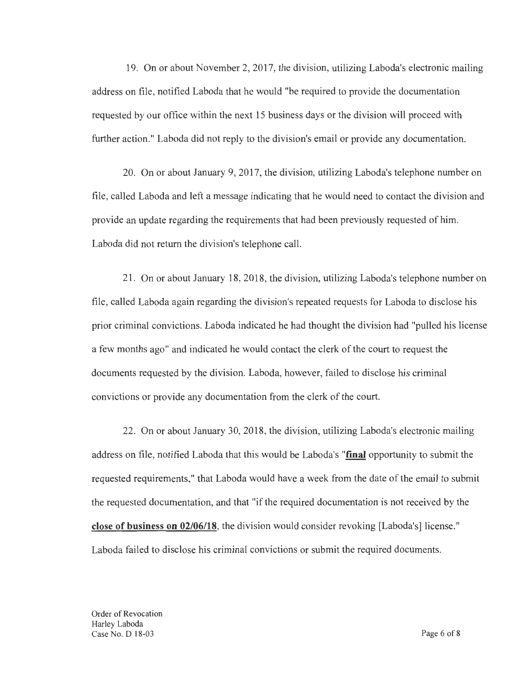19. On or about November 2, 2017, the division, utilizing Laboda's electronic mailing address on file, notified Laboda that he would "be required to provide the documentation requested by our office within the next 15 business days or the division will proceed with further action." Laboda did not reply to the division's email or provide any documentation.

20. On or about January 9, 2017, the division, utilizing Laboda's telephone number on file, called Laboda and left a message indicating that he would need to contact the division and provide an update regarding the requirements that had been previously requested of him. Laboda did not return the division's telephone call.

21. On or about January 18, 2018, the division, utilizing Laboda's telephone number on file, called Laboda again regarding the division's repeated requests for Laboda to disclose his prior criminal convictions. Laboda indicated he had thought the division had "pulled his license a few months ago" and indicated he would contact the clerk of the court to request the documents requested by the division. Laboda, however, failed to disclose his criminal convictions or provide any documentation from the clerk of the court.

22. On or about January 30, 2018, the division, utilizing Laboda's electronic mailing address on file, notified Laboda that this would be Laboda's **"final** opportunity to submit the requested requirements," that Laboda would have a week from the date of the email to submit the requested documentation, and that "if the required documentation is not received by the **close of business on 02/06/18,** the division would consider revoking [Laboda's] license." Laboda failed to disclose his criminal convictions or submit the required documents.

Order of Revocation Harley Laboda Case No. D 18-03 Page 6 of 8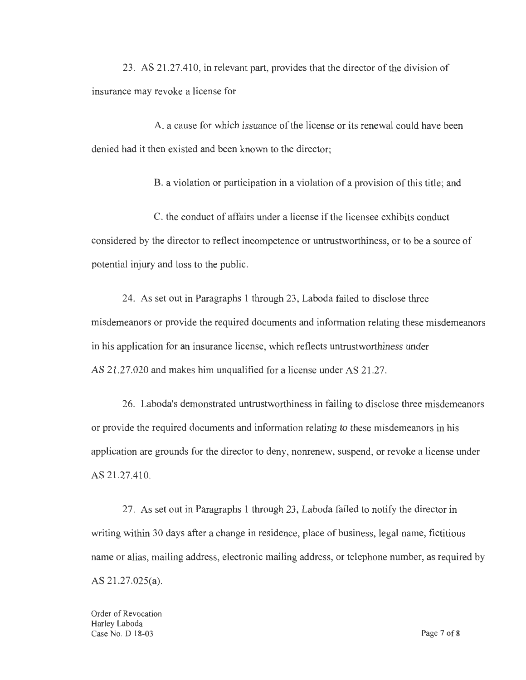23 . AS 21.27.410, in relevant part, provides that the director of the division of insurance may revoke a license for

A. a cause for which issuance of the license or its renewal could have been denied had it then existed and been known to the director;

B. a violation or participation in a violation of a provision of this title; and

C. the conduct of affairs under a license if the licensee exhibits conduct considered by the director to reflect incompetence or untrustworthiness, or to be a source of potential injury and loss to the public.

24. As set out in Paragraphs 1 through 23, Laboda failed to disclose three misdemeanors or provide the required documents and information relating these misdemeanors in his application for an insurance license, which reflects untrustworthiness under AS 21.27.020 and makes him unqualified for a license under AS 21.27.

26. Laboda's demonstrated untrustworthiness in failing to disclose three misdemeanors or provide the required documents and information relating to these misdemeanors in his application are grounds for the director to deny, nonrenew, suspend, or revoke a license under AS 21.27.410.

27. As set out in Paragraphs 1 through 23, Laboda failed to notify the director in writing within 30 days after a change in residence, place of business, legal name, fictitious name or alias, mailing address, electronic mailing address, or telephone number, as required by AS 21.27.025(a).